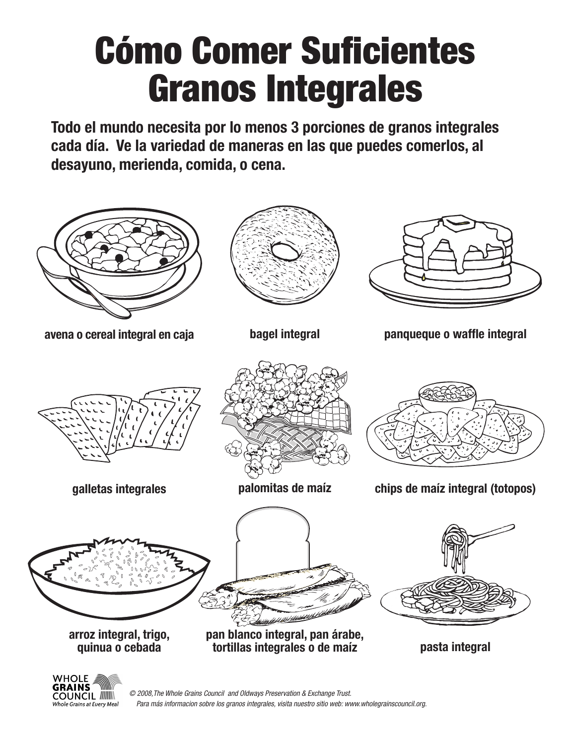## Cómo Comer Suficientes Granos Integrales

**Todo el mundo necesita por lo menos 3 porciones de granos integrales cada día. Ve la variedad de maneras en las que puedes comerlos, al desayuno, merienda, comida, o cena.**



© 2008,The Whole Grains Council and Oldways Preservation & Exchange Trust. Para más informacion sobre los granos integrales, visita nuestro sitio web: www.wholegrainscouncil.org.

**COUNCIL /////// Whole Grains at Every Meal**